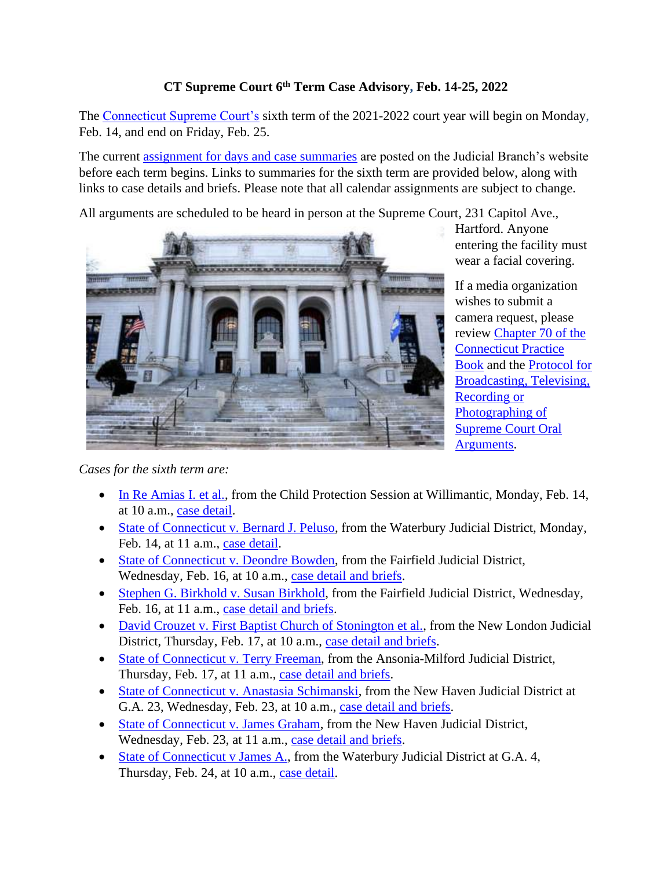## **CT Supreme Court 6th Term Case Advisory, Feb. 14-25, 2022**

The [Connecticut Supreme Court's](https://jud.ct.gov/supremecourt/) sixth term of the 2021-2022 court year will begin on Monday, Feb. 14, and end on Friday, Feb. 25.

The current [assignment for days and case summaries](https://www.jud.ct.gov/external/supapp/sup_assign.htm) are posted on the Judicial Branch's website before each term begins. Links to summaries for the sixth term are provided below, along with links to case details and briefs. Please note that all calendar assignments are subject to change.

All arguments are scheduled to be heard in person at the Supreme Court, 231 Capitol Ave.,



Hartford. Anyone entering the facility must wear a facial covering.

If a media organization wishes to submit a camera request, please review [Chapter 70 of the](https://www.jud.ct.gov/pb.htm)  [Connecticut Practice](https://www.jud.ct.gov/pb.htm)  [Book](https://www.jud.ct.gov/pb.htm) and the [Protocol for](https://www.jud.ct.gov/external/supapp/protocol_sup_oral_argu.htm)  [Broadcasting, Televising,](https://www.jud.ct.gov/external/supapp/protocol_sup_oral_argu.htm)  [Recording or](https://www.jud.ct.gov/external/supapp/protocol_sup_oral_argu.htm)  [Photographing of](https://www.jud.ct.gov/external/supapp/protocol_sup_oral_argu.htm)  [Supreme Court Oral](https://www.jud.ct.gov/external/supapp/protocol_sup_oral_argu.htm)  [Arguments.](https://www.jud.ct.gov/external/supapp/protocol_sup_oral_argu.htm)

*Cases for the sixth term are:*

- [In Re Amias I. et al.,](https://jud.ct.gov/external/supapp/summaries/docket/20671.htm) from the Child Protection Session at Willimantic, Monday, Feb. 14, at 10 a.m., [case detail.](http://appellateinquiry.jud.ct.gov/CaseDetail.aspx?CRN=76461&Type=AppealNo)
- [State of Connecticut v. Bernard J. Peluso,](https://jud.ct.gov/external/supapp/summaries/docket/20303.htm) from the Waterbury Judicial District, Monday, Feb. 14, at 11 a.m., [case detail.](http://appellateinquiry.jud.ct.gov/CaseDetail.aspx?CRN=61325&Type=AppealNo)
- [State of Connecticut v. Deondre Bowden,](https://jud.ct.gov/external/supapp/summaries/docket/20488.htm) from the Fairfield Judicial District, Wednesday, Feb. 16, at 10 a.m., [case detail and briefs.](http://appellateinquiry.jud.ct.gov/CaseDetail.aspx?CRN=73892&Type=AppealNo)
- [Stephen G. Birkhold v. Susan Birkhold,](https://jud.ct.gov/external/supapp/summaries/docket/20593.htm) from the Fairfield Judicial District, Wednesday, Feb. 16, at 11 a.m., [case detail and briefs.](http://appellateinquiry.jud.ct.gov/CaseDetail.aspx?CRN=75393&Type=AppealNo)
- [David Crouzet v. First Baptist Church of Stonington et al.,](https://jud.ct.gov/external/supapp/summaries/docket/20545.htm) from the New London Judicial District, Thursday, Feb. 17, at 10 a.m., [case detail and briefs.](http://appellateinquiry.jud.ct.gov/CaseDetail.aspx?CRN=74573&Type=AppealNo)
- [State of Connecticut v. Terry Freeman,](https://jud.ct.gov/external/supapp/summaries/docket/20554.htm) from the Ansonia-Milford Judicial District, Thursday, Feb. 17, at 11 a.m., [case detail and briefs.](http://appellateinquiry.jud.ct.gov/CaseDetail.aspx?CRN=74717&Type=AppealNo)
- [State of Connecticut v. Anastasia Schimanski,](https://jud.ct.gov/external/supapp/summaries/docket/20550.htm) from the New Haven Judicial District at G.A. 23, Wednesday, Feb. 23, at 10 a.m., [case detail and briefs.](http://appellateinquiry.jud.ct.gov/CaseDetail.aspx?CRN=74650&Type=AppealNo)
- [State of Connecticut v. James Graham,](https://jud.ct.gov/external/supapp/summaries/docket/20447.htm) from the New Haven Judicial District, Wednesday, Feb. 23, at 11 a.m., [case detail and briefs.](http://appellateinquiry.jud.ct.gov/CaseDetail.aspx?CRN=73239&Type=AppealNo)
- [State of Connecticut v James A.,](https://jud.ct.gov/external/supapp/summaries/docket/20453.htm) from the Waterbury Judicial District at G.A. 4, Thursday, Feb. 24, at 10 a.m., [case detail.](http://appellateinquiry.jud.ct.gov/CaseDetail.aspx?CRN=73316&Type=AppealNo)